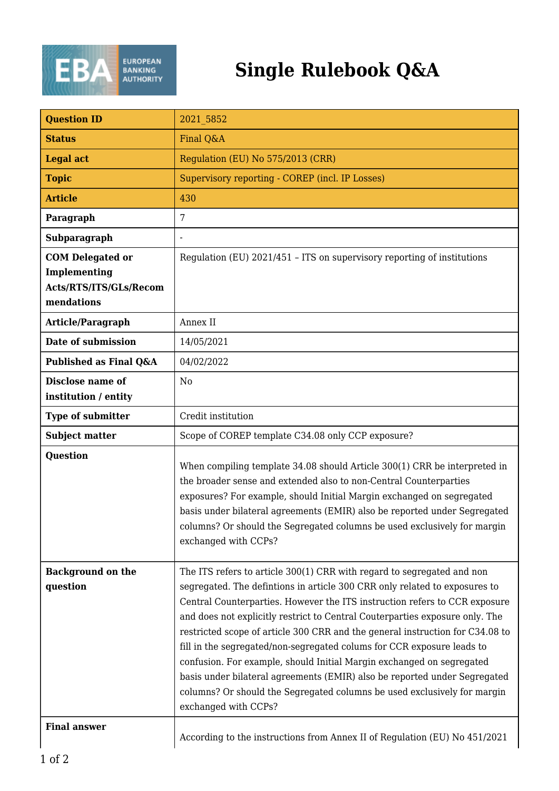

## **Single Rulebook Q&A**

| <b>Question ID</b>                                                              | 2021 5852                                                                                                                                                                                                                                                                                                                                                                                                                                                                                                                                                                                                                                                                                                                               |
|---------------------------------------------------------------------------------|-----------------------------------------------------------------------------------------------------------------------------------------------------------------------------------------------------------------------------------------------------------------------------------------------------------------------------------------------------------------------------------------------------------------------------------------------------------------------------------------------------------------------------------------------------------------------------------------------------------------------------------------------------------------------------------------------------------------------------------------|
| <b>Status</b>                                                                   | Final Q&A                                                                                                                                                                                                                                                                                                                                                                                                                                                                                                                                                                                                                                                                                                                               |
| <b>Legal act</b>                                                                | Regulation (EU) No 575/2013 (CRR)                                                                                                                                                                                                                                                                                                                                                                                                                                                                                                                                                                                                                                                                                                       |
| <b>Topic</b>                                                                    | Supervisory reporting - COREP (incl. IP Losses)                                                                                                                                                                                                                                                                                                                                                                                                                                                                                                                                                                                                                                                                                         |
| <b>Article</b>                                                                  | 430                                                                                                                                                                                                                                                                                                                                                                                                                                                                                                                                                                                                                                                                                                                                     |
| Paragraph                                                                       | 7                                                                                                                                                                                                                                                                                                                                                                                                                                                                                                                                                                                                                                                                                                                                       |
| Subparagraph                                                                    | $\overline{a}$                                                                                                                                                                                                                                                                                                                                                                                                                                                                                                                                                                                                                                                                                                                          |
| <b>COM Delegated or</b><br>Implementing<br>Acts/RTS/ITS/GLs/Recom<br>mendations | Regulation (EU) 2021/451 - ITS on supervisory reporting of institutions                                                                                                                                                                                                                                                                                                                                                                                                                                                                                                                                                                                                                                                                 |
| Article/Paragraph                                                               | Annex II                                                                                                                                                                                                                                                                                                                                                                                                                                                                                                                                                                                                                                                                                                                                |
| Date of submission                                                              | 14/05/2021                                                                                                                                                                                                                                                                                                                                                                                                                                                                                                                                                                                                                                                                                                                              |
| Published as Final Q&A                                                          | 04/02/2022                                                                                                                                                                                                                                                                                                                                                                                                                                                                                                                                                                                                                                                                                                                              |
| Disclose name of<br>institution / entity                                        | N <sub>0</sub>                                                                                                                                                                                                                                                                                                                                                                                                                                                                                                                                                                                                                                                                                                                          |
| <b>Type of submitter</b>                                                        | Credit institution                                                                                                                                                                                                                                                                                                                                                                                                                                                                                                                                                                                                                                                                                                                      |
| <b>Subject matter</b>                                                           | Scope of COREP template C34.08 only CCP exposure?                                                                                                                                                                                                                                                                                                                                                                                                                                                                                                                                                                                                                                                                                       |
| Question                                                                        | When compiling template 34.08 should Article 300(1) CRR be interpreted in<br>the broader sense and extended also to non-Central Counterparties<br>exposures? For example, should Initial Margin exchanged on segregated<br>basis under bilateral agreements (EMIR) also be reported under Segregated<br>columns? Or should the Segregated columns be used exclusively for margin<br>exchanged with CCPs?                                                                                                                                                                                                                                                                                                                                |
| <b>Background on the</b><br>question                                            | The ITS refers to article 300(1) CRR with regard to segregated and non<br>segregated. The defintions in article 300 CRR only related to exposures to<br>Central Counterparties. However the ITS instruction refers to CCR exposure<br>and does not explicitly restrict to Central Couterparties exposure only. The<br>restricted scope of article 300 CRR and the general instruction for C34.08 to<br>fill in the segregated/non-segregated colums for CCR exposure leads to<br>confusion. For example, should Initial Margin exchanged on segregated<br>basis under bilateral agreements (EMIR) also be reported under Segregated<br>columns? Or should the Segregated columns be used exclusively for margin<br>exchanged with CCPs? |
| <b>Final answer</b>                                                             | According to the instructions from Annex II of Regulation (EU) No 451/2021                                                                                                                                                                                                                                                                                                                                                                                                                                                                                                                                                                                                                                                              |